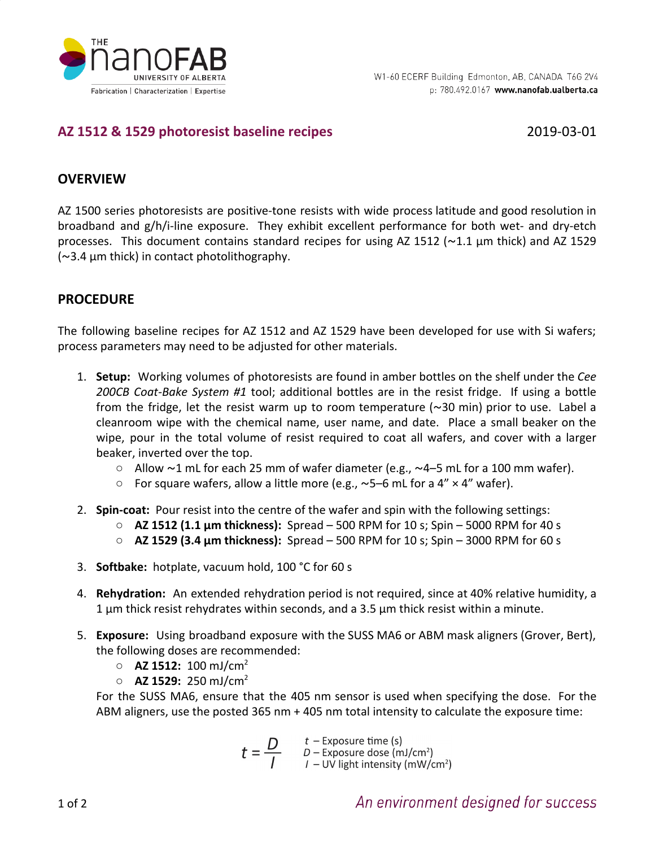

# **AZ 1512 & 1529 photoresist baseline recipes** 2019-03-01

# **OVERVIEW**

AZ 1500 series photoresists are positive-tone resists with wide process latitude and good resolution in broadband and g/h/i-line exposure. They exhibit excellent performance for both wet- and dry-etch processes. This document contains standard recipes for using AZ 1512 (~1.1 µm thick) and AZ 1529  $\sim$ 3.4  $\mu$ m thick) in contact photolithography.

# **PROCEDURE**

The following baseline recipes for AZ 1512 and AZ 1529 have been developed for use with Si wafers; process parameters may need to be adjusted for other materials.

- 1. **Setup:** Working volumes of photoresists are found in amber bottles on the shelf under the *Cee 200CB Coat-Bake System #1* tool; additional bottles are in the resist fridge. If using a bottle from the fridge, let the resist warm up to room temperature  $(\sim 30 \text{ min})$  prior to use. Label a cleanroom wipe with the chemical name, user name, and date. Place a small beaker on the wipe, pour in the total volume of resist required to coat all wafers, and cover with a larger beaker, inverted over the top.
	- $\circ$  Allow ~1 mL for each 25 mm of wafer diameter (e.g., ~4–5 mL for a 100 mm wafer).
	- For square wafers, allow a little more (e.g.,  $\sim$ 5–6 mL for a 4"  $\times$  4" wafer).
- 2. **Spin-coat:** Pour resist into the centre of the wafer and spin with the following settings:
	- **AZ 1512 (1.1 µm thickness):** Spread 500 RPM for 10 s; Spin 5000 RPM for 40 s
	- **AZ 1529 (3.4 µm thickness):** Spread 500 RPM for 10 s; Spin 3000 RPM for 60 s
- 3. **Softbake:** hotplate, vacuum hold, 100 °C for 60 s
- 4. **Rehydration:** An extended rehydration period is not required, since at 40% relative humidity, a 1 µm thick resist rehydrates within seconds, and a 3.5 µm thick resist within a minute.
- 5. **Exposure:** Using broadband exposure with the SUSS MA6 or ABM mask aligners (Grover, Bert), the following doses are recommended:
	- **AZ 1512:** 100 mJ/cm<sup>2</sup>
	- **AZ 1529:** 250 mJ/cm<sup>2</sup>

For the SUSS MA6, ensure that the 405 nm sensor is used when specifying the dose. For the ABM aligners, use the posted 365 nm + 405 nm total intensity to calculate the exposure time:

$$
t = \frac{D}{I}
$$
   
  $t$  - Exposure time (s)  
  $D$  - Exposure dose (mJ/cm<sup>2</sup>)  
  $I$  - UV light intensity (mW/cm<sup>2</sup>)